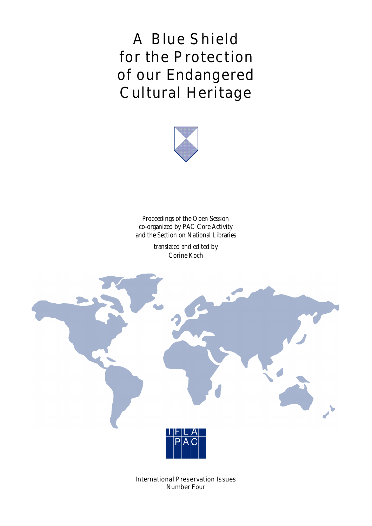A Blue Shield for the Protection of our Endangered Cultural Heritage



Proceedings of the Open Session co-organized by PAC Core Activity and the Section on National Libraries

> translated and edited by Corine Koch



International Preservation Issues Number Four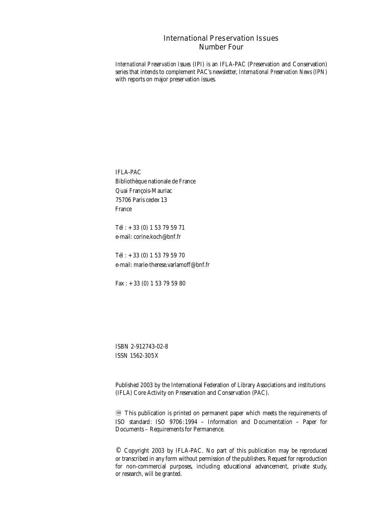#### International Preservation Issues Number Four

*International Preservation Issues* (IPI) is an IFLA-PAC (Preservation and Conservation) series that intends to complement PAC's newsletter, *International Preservation News* (IPN) with reports on major preservation issues.

IFLA-PAC Bibliothèque nationale de France Quai François-Mauriac 75706 Paris cedex 13 France

Tél : + 33 (0) 1 53 79 59 71 e-mail: corine.koch@bnf.fr

Tél : + 33 (0) 1 53 79 59 70 e-mail: marie-therese.varlamoff@bnf.fr

Fax : + 33 (0) 1 53 79 59 80

ISBN 2-912743-02-8 ISSN 1562-305X

Published 2003 by the International Federation of Library Associations and institutions (IFLA) Core Activity on Preservation and Conservation (PAC).

 $\bigcirc$  This publication is printed on permanent paper which meets the requirements of ISO standard: ISO 9706:1994 – Information and Documentation – Paper for Documents – Requirements for Permanence.

© Copyright 2003 by IFLA-PAC. No part of this publication may be reproduced or transcribed in any form without permission of the publishers. Request for reproduction for non-commercial purposes, including educational advancement, private study, or research, will be granted.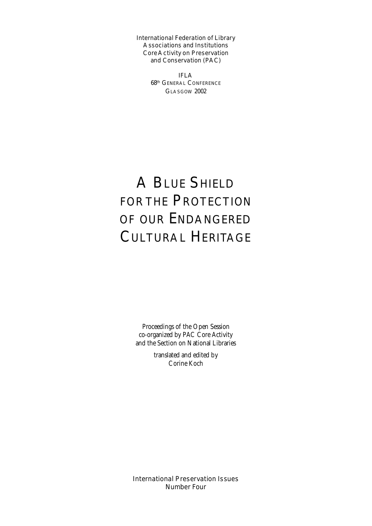International Federation of Library Associations and Institutions Core Activity on Preservation and Conservation (PAC)

> IFLA 68th GENERAL CONFERENCE GLASGOW 2002

# A BLUE SHIELD FORTHE PROTECTION OF OUR ENDANGERED CULTURAL HERITAGE

Proceedings of the Open Session co-organized by PAC Core Activity and the Section on National Libraries

> translated and edited by Corine Koch

International Preservation Issues Number Four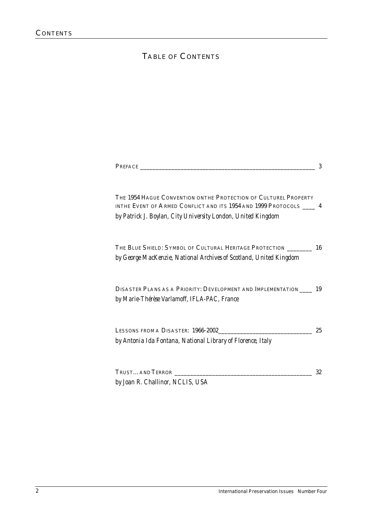### TABLE OF CONTENTS

|                                                                                                                                                                                                         | 3  |
|---------------------------------------------------------------------------------------------------------------------------------------------------------------------------------------------------------|----|
| THE 1954 HAGUE CONVENTION ONTHE PROTECTION OF CULTUREL PROPERTY<br>INTHE EVENT OF ARMED CONFLICT AND ITS 1954 AND 1999 PROTOCOLS ____ 4<br>by Patrick J. Boylan, City University London, United Kingdom |    |
| THE BLUE SHIELD: SYMBOL OF CULTURAL HERITAGE PROTECTION ________<br>by George MacKenzie, National Archives of Scotland, United Kingdom                                                                  | 16 |
| DISASTER PLANS AS A PRIORITY: DEVELOPMENT AND IMPLEMENTATION<br>by Marie-Thérèse Varlamoff, IFLA-PAC, France                                                                                            | 19 |
| LESSONS FROM A DISASTER: 1966-2002<br>by Antonia Ida Fontana, National Library of Florence, Italy                                                                                                       | 25 |
|                                                                                                                                                                                                         | 32 |

*by Joan R. Challinor, NCLIS, USA*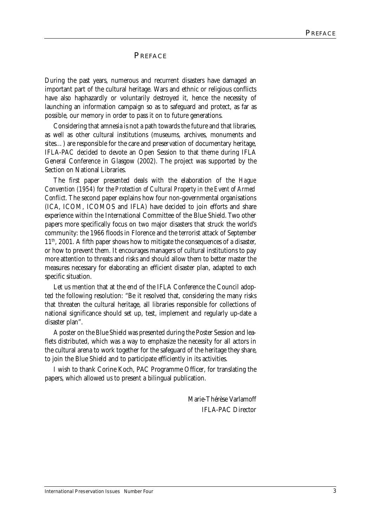#### **PREFACE**

During the past years, numerous and recurrent disasters have damaged an important part of the cultural heritage. Wars and ethnic or religious conflicts have also haphazardly or voluntarily destroyed it, hence the necessity of launching an information campaign so as to safeguard and protect, as far as possible, our memory in order to pass it on to future generations.

Considering that amnesia is not a path towards the future and that libraries, as well as other cultural institutions (museums, archives, monuments and sites…) are responsible for the care and preservation of documentary heritage, IFLA-PAC decided to devote an Open Session to that theme during IFLA General Conference in Glasgow (2002). The project was supported by the Section on National Libraries.

The first paper presented deals with the elaboration of the *Hague Convention (1954) for the Protection of Cultural Property in the Event of Armed Conflict.* The second paper explains how four non-governmental organisations (ICA, ICOM, ICOMOS and IFLA) have decided to join efforts and share experience within the International Committee of the Blue Shield. Two other papers more specifically focus on two major disasters that struck the world's community: the 1966 floods in Florence and the terrorist attack of September 11th, 2001. A fifth paper shows how to mitigate the consequences of a disaster, or how to prevent them. It encourages managers of cultural institutions to pay more attention to threats and risks and should allow them to better master the measures necessary for elaborating an efficient disaster plan, adapted to each specific situation.

Let us mention that at the end of the IFLA Conference the Council adopted the following resolution: "Be it resolved that, considering the many risks that threaten the cultural heritage, all libraries responsible for collections of national significance should set up, test, implement and regularly up-date a disaster plan".

A poster on the Blue Shield was presented during the Poster Session and leaflets distributed, which was a way to emphasize the necessity for all actors in the cultural arena to work together for the safeguard of the heritage they share, to join the Blue Shield and to participate efficiently in its activities.

I wish to thank Corine Koch, PAC Programme Officer, for translating the papers, which allowed us to present a bilingual publication.

> Marie-Thérèse Varlamoff IFLA-PAC Director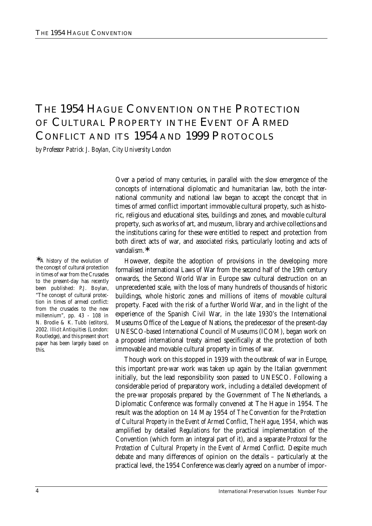# THE 1954 HAGUE CONVENTION ON THE PROTECTION OF CULTURAL PROPERTY IN THE EVENT OF ARMED CONFLICT AND ITS 1954 AND 1999 PROTOCOLS

by Professor Patrick J. Boylan, City University London

Over a period of many centuries, in parallel with the slow emergence of the concepts of international diplomatic and humanitarian law, both the international community and national law began to accept the concept that in times of armed conflict important immovable cultural property, such as historic, religious and educational sites, buildings and zones, and movable cultural property, such as works of art, and museum, library and archive collections and the institutions caring for these were entitled to respect and protection from both direct acts of war, and associated risks, particularly looting and acts of vandalism.

A history of the evolution of the concept of cultural protection in times of war from the Crusades to the present-day has recently been published: P.J. Boylan, "The concept of cultural protection in times of armed conflict: from the crusades to the new millennium", pp. 43 - 108 in N. Brodie & K. Tubb (editors), 2002. *Illicit Antiquities* (London: Routledge), and this present short paper has been largely based on this.

However, despite the adoption of provisions in the developing more formalised international Laws of War from the second half of the 19th century onwards, the Second World War in Europe saw cultural destruction on an unprecedented scale, with the loss of many hundreds of thousands of historic buildings, whole historic zones and millions of items of movable cultural property. Faced with the risk of a further World War, and in the light of the experience of the Spanish Civil War, in the late 1930's the International Museums Office of the League of Nations, the predecessor of the present-day UNESCO-based International Council of Museums (ICOM), began work on a proposed international treaty aimed specifically at the protection of both immovable and movable cultural property in times of war.

Though work on this stopped in 1939 with the outbreak of war in Europe, this important pre-war work was taken up again by the Italian government initially, but the lead responsibility soon passed to UNESCO. Following a considerable period of preparatory work, including a detailed development of the pre-war proposals prepared by the Government of The Netherlands, a Diplomatic Conference was formally convened at The Hague in 1954. The result was the adoption on 14 May 1954 of *The Convention for the Protection of Cultural Property in the Event of Armed Conflict, The Hague, 1954*, which was amplified by detailed *Regulations* for the practical implementation of the Convention (which form an integral part of it), and a separate *Protocol for the Protection of Cultural Property in the Event of Armed Conflict*. Despite much debate and many differences of opinion on the details – particularly at the practical level, the 1954 Conference was clearly agreed on a number of impor-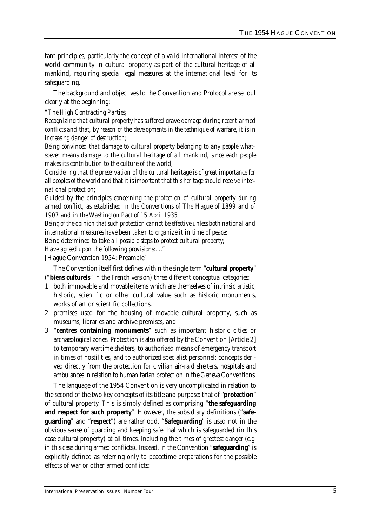tant principles, particularly the concept of a valid international interest of the world community in cultural property as part of the cultural heritage of all mankind, requiring special legal measures at the international level for its safeguarding.

The background and objectives to the Convention and Protocol are set out clearly at the beginning:

*"The High Contracting Parties,* 

*Recognizing that cultural property has suffered grave damage during recent armed conflicts and that, by reason of the developments in the technique of warfare, it is in increasing danger of destruction;* 

*Being convinced that damage to cultural property belonging to any people whatsoever means damage to the cultural heritage of all mankind, since each people makes its contribution to the culture of the world;*

*Considering that the preservation of the cultural heritage is of great importance for all peoples of the world and that it is important that this heritage should receive international protection;* 

*Guided by the principles concerning the protection of cultural property during armed conflict, as established in the Conventions of The Hague of 1899 and of 1907 and in the Washington Pact of 15 April 1935;* 

*Being of the opinion that such protection cannot be effective unless both national and international measures have been taken to organize it in time of peace; Being determined to take all possible steps to protect cultural property; Have agreed upon the following provisions:...."*

[Hague Convention 1954: Preamble]

The Convention itself first defines within the single term "**cultural property**" ("**biens culturels**" in the French version) three different conceptual categories:

- 1. both immovable and movable items which are themselves of intrinsic artistic. historic, scientific or other cultural value such as historic monuments, works of art or scientific collections,
- 2. premises used for the housing of movable cultural property, such as museums, libraries and archive premises, and
- 3. "**centres containing monuments**" such as important historic cities or archaeological zones. Protection is also offered by the Convention [Article 2] to temporary wartime shelters, to authorized means of emergency transport in times of hostilities, and to authorized specialist personnel: concepts derived directly from the protection for civilian air-raid shelters, hospitals and ambulances in relation to humanitarian protection in the Geneva Conventions.

The language of the 1954 Convention is very uncomplicated in relation to the second of the two key concepts of its title and purpose: that of "**protection**" of cultural property. This is simply defined as comprising "**the safeguarding and respect for such property**". However, the subsidiary definitions ("**safeguarding**" and "**respect**") are rather odd. "**Safeguarding**" is used not in the obvious sense of guarding and keeping safe that which is safeguarded (in this case cultural property) at all times, including the times of greatest danger (e.g. in this case during armed conflicts). Instead, in the Convention "safeguarding" is explicitly defined as referring only to peacetime preparations for the possible effects of war or other armed conflicts: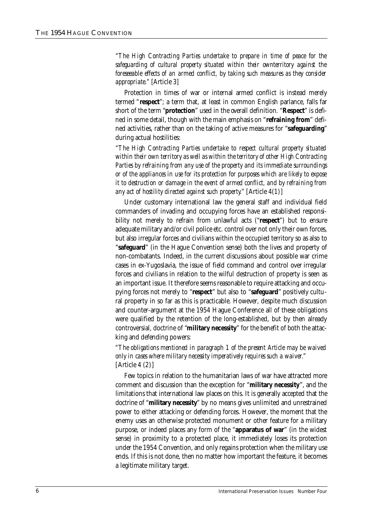*"The High Contracting Parties undertake to prepare in time of peace for the*  safeguarding of cultural property situated within their ownterritory against the *foreseeable effects of an armed conflict, by taking such measures as they consider appropriate."* [Article 3]

Protection in times of war or internal armed conflict is instead merely termed "**respect**"; a term that, at least in common English parlance, falls far short of the term "**protection**" used in the overall definition. "**Respect**" is defined in some detail, though with the main emphasis on "**refraining from**" defined activities, rather than on the taking of active measures for "**safeguarding**" during actual hostilities:

*"The High Contracting Parties undertake to respect cultural property situated within their own territory as well as within the territory of other High Contracting Parties by refraining from any use of the property and its immediate surroundings or of the appliances in use for its protection for purposes which are likely to expose it to destruction or damage in the event of armed conflict, and by refraining from any act of hostility directed against such property."* [Article 4(1)]

Under customary international law the general staff and individual field commanders of invading and occupying forces have an established responsibility not merely to refrain from unlawful acts ("**respect**") but to ensure adequate military and/or civil police etc. control over not only their own forces, but also irregular forces and civilians within the occupied territory so as also to "**safeguard**" (in the Hague Convention sense) both the lives and property of non-combatants. Indeed, in the current discussions about possible war crime cases in ex-Yugoslavia, the issue of field command and control over irregular forces and civilians in relation to the wilful destruction of property is seen as an important issue. It therefore seems reasonable to require attacking and occupying forces not merely to "**respect**" but also to "**safeguard**" positively cultural property in so far as this is practicable. However, despite much discussion and counter-argument at the 1954 Hague Conference all of these obligations were qualified by the retention of the long-established, but by then already controversial, doctrine of "**military necessity**" for the benefit of both the attacking and defending powers:

*"The obligations mentioned in paragraph 1 of the present Article may be waived only in cases where military necessity imperatively requires such a waiver."* [Article 4 (2)]

Few topics in relation to the humanitarian laws of war have attracted more comment and discussion than the exception for "**military necessity**", and the limitations that international law places on this. It is generally accepted that the doctrine of "**military necessity**" by no means gives unlimited and unrestrained power to either attacking or defending forces. However, the moment that the enemy uses an otherwise protected monument or other feature for a military purpose, or indeed places any form of the "**apparatus of war**" (in the widest sense) in proximity to a protected place, it immediately loses its protection under the 1954 Convention, and only regains protection when the military use ends. If this is not done, then no matter how important the feature, it becomes a legitimate military target.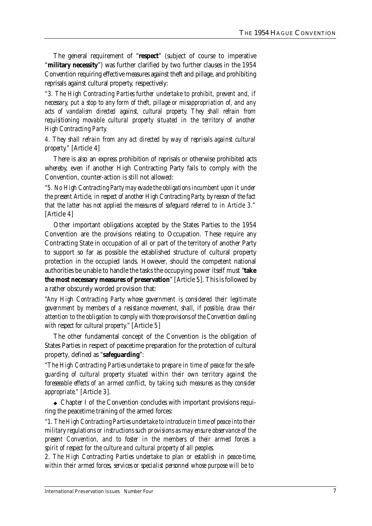The general requirement of "**respect**" (subject of course to imperative "**military necessity**") was further clarified by two further clauses in the 1954 Convention requiring effective measures against theft and pillage, and prohibiting reprisals against cultural property, respectively:

*"3. The High Contracting Parties further undertake to prohibit, prevent and, if necessary, put a stop to any form of theft, pillage or misappropriation of, and any* acts of vandalism directed against, cultural property. They shall refrain from *requisitioning movable cultural property situated in the territory of another High Contracting Party.*

*4. They shall refrain from any act directed by way of reprisals against cultural property."* [Article 4]

There is also an express prohibition of reprisals or otherwise prohibited acts whereby, even if another High Contracting Party fails to comply with the Convention, counter-action is still not allowed:

*"5. No High Contracting Party may evade the obligations incumbent upon it under the present Article, in respect of another High Contracting Party, by reason of the fact that the latter has not applied the measures of safeguard referred to in Article 3."* [Article 4]

Other important obligations accepted by the States Parties to the 1954 Convention are the provisions relating to Occupation. These require any Contracting State in occupation of all or part of the territory of another Party to support so far as possible the established structure of cultural property protection in the occupied lands. However, should the competent national authorities be unable to handle the tasks the occupying power itself must "**take the most necessary measures of preservation**" [Article 5]. This is followed by a rather obscurely worded provision that:

*"Any High Contracting Party whose government is considered their legitimate government by members of a resistance movement, shall, if possible, draw their attention to the obligation to comply with those provisions of the Convention dealing with respect for cultural property."* [Article 5]

The other fundamental concept of the Convention is the obligation of States Parties in respect of peacetime preparation for the protection of cultural property, defined as "**safeguarding**":

*"The High Contracting Parties undertake to prepare in time of peace for the safeguarding of cultural property situated within their own territory against the foreseeable effects of an armed conflict, by taking such measures as they consider appropriate."* [Article 3].

 $\bullet$  Chapter I of the Convention concludes with important provisions requiring the peacetime training of the armed forces:

*"1. The High Contracting Parties undertake to introduce in time of peace into their military regulations or instructions such provisions as may ensure observance of the present Convention, and to foster in the members of their armed forces a spirit of respect for the culture and cultural property of all peoples.* 

*2. The High Contracting Parties undertake to plan or establish in peace-time, within their armed forces, services or specialist personnel whose purpose will be to*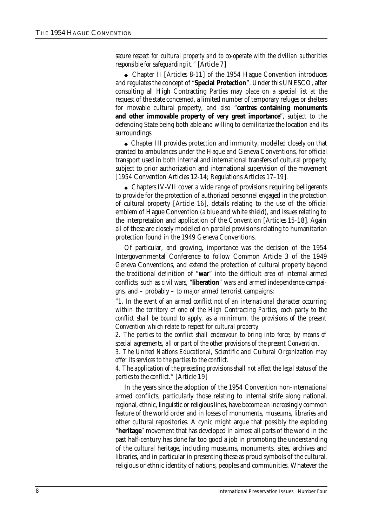*secure respect for cultural property and to co-operate with the civilian authorities responsible for safeguarding it."* [Article 7]

◆ Chapter II [Articles 8-11] of the 1954 Hague Convention introduces and regulates the concept of "**Special Protection**". Under this UNESCO, after consulting all High Contracting Parties may place on a special list at the request of the state concerned, a limited number of temporary refuges or shelters for movable cultural property, and also "centres containing monuments and other immovable property of very great importance", subject to the defending State being both able and willing to demilitarize the location and its surroundings.

◆ Chapter III provides protection and immunity, modelled closely on that granted to ambulances under the Hague and Geneva Conventions, for official transport used in both internal and international transfers of cultural property, subject to prior authorization and international supervision of the movement [1954 Convention Articles 12-14; Regulations Articles 17–19].

◆ Chapters IV-VII cover a wide range of provisions requiring belligerents to provide for the protection of authorized personnel engaged in the protection of cultural property [Article 16], details relating to the use of the official emblem of Hague Convention (a blue and white shield), and issues relating to the interpretation and application of the Convention [Articles 15-18]. Again all of these are closely modelled on parallel provisions relating to humanitarian protection found in the 1949 Geneva Conventions.

Of particular, and growing, importance was the decision of the 1954 Intergovernmental Conference to follow Common Article 3 of the 1949 Geneva Conventions, and extend the protection of cultural property beyond the traditional definition of "**war**" into the difficult area of internal armed conflicts, such as civil wars, "liberation" wars and armed independence campaigns, and  $-$  probably  $-$  to major armed terrorist campaigns:

*"1. In the event of an armed conflict not of an international character occurring within the territory of one of the High Contracting Parties, each party to the conflict shall be bound to apply, as a minimum, the provisions of the present Convention which relate to respect for cultural property.*

*2. The parties to the conflict shall endeavour to bring into force, by means of special agreements, all or part of the other provisions of the present Convention.* 

*3. The United Nations Educational, Scientific and Cultural Organization may offer its services to the parties to the conflict.* 

*4. The application of the preceding provisions shall not affect the legal status of the parties to the conflict."* [Article 19]

In the years since the adoption of the 1954 Convention non-international armed conflicts, particularly those relating to internal strife along national, regional, ethnic, linguistic or religious lines, have become an increasingly common feature of the world order and in losses of monuments, museums, libraries and other cultural repositories. A cynic might argue that possibly the exploding "**heritage**" movement that has developed in almost all parts of the world in the past half-century has done far too good a job in promoting the understanding of the cultural heritage, including museums, monuments, sites, archives and libraries, and in particular in presenting these as proud symbols of the cultural, religious or ethnic identity of nations, peoples and communities. Whatever the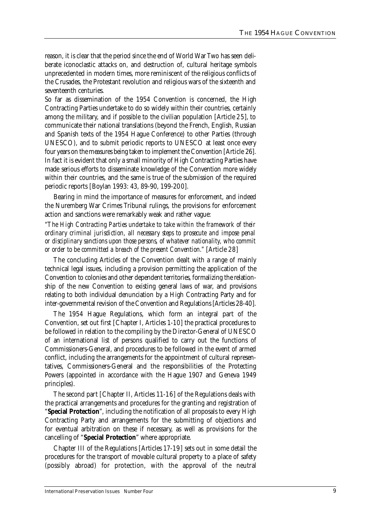reason, it is clear that the period since the end of World War Two has seen deliberate iconoclastic attacks on, and destruction of, cultural heritage symbols unprecedented in modern times, more reminiscent of the religious conflicts of the Crusades, the Protestant revolution and religious wars of the sixteenth and seventeenth centuries.

So far as dissemination of the 1954 Convention is concerned, the High Contracting Parties undertake to do so widely within their countries, certainly among the military, and if possible to the civilian population [Article 25], to communicate their national translations (beyond the French, English, Russian and Spanish texts of the 1954 Hague Conference) to other Parties (through UNESCO), and to submit periodic reports to UNESCO at least once every four years on the measures being taken to implement the Convention [Article 26]. In fact it is evident that only a small minority of High Contracting Parties have made serious efforts to disseminate knowledge of the Convention more widely within their countries, and the same is true of the submission of the required periodic reports [Boylan 1993: 43, 89-90, 199-200].

Bearing in mind the importance of measures for enforcement, and indeed the Nuremberg War Crimes Tribunal rulings, the provisions for enforcement action and sanctions were remarkably weak and rather vague:

*"The High Contracting Parties undertake to take within the framework of their ordinary criminal jurisdiction, all necessary steps to prosecute and impose penal or disciplinary sanctions upon those persons, of whatever nationality, who commit or order to be committed a breach of the present Convention."* [Article 28]

The concluding Articles of the Convention dealt with a range of mainly technical legal issues, including a provision permitting the application of the Convention to colonies and other dependent territories, formalizing the relationship of the new Convention to existing general laws of war, and provisions relating to both individual denunciation by a High Contracting Party and for inter-governmental revision of the Convention and Regulations [Articles 28-40].

The 1954 Hague Regulations, which form an integral part of the Convention, set out first [Chapter I, Articles 1-10] the practical procedures to be followed in relation to the compiling by the Director-General of UNESCO of an international list of persons qualified to carry out the functions of Commissioners-General, and procedures to be followed in the event of armed conflict, including the arrangements for the appointment of cultural representatives, Commissioners-General and the responsibilities of the Protecting Powers (appointed in accordance with the Hague 1907 and Geneva 1949 principles).

The second part [Chapter II, Articles 11-16] of the Regulations deals with the practical arrangements and procedures for the granting and registration of "**Special Protection**", including the notification of all proposals to every High Contracting Party and arrangements for the submitting of objections and for eventual arbitration on these if necessary, as well as provisions for the cancelling of "**Special Protection**" where appropriate.

Chapter III of the Regulations [Articles 17-19] sets out in some detail the procedures for the transport of movable cultural property to a place of safety (possibly abroad) for protection, with the approval of the neutral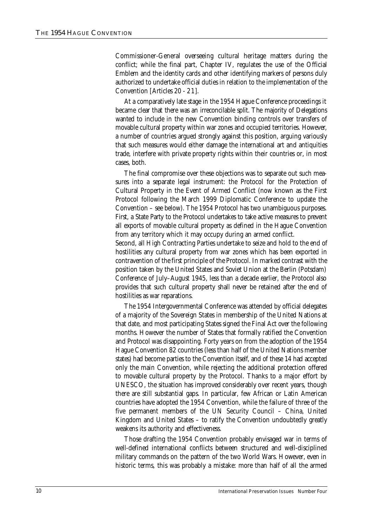Commissioner-General overseeing cultural heritage matters during the conflict; while the final part, Chapter IV, regulates the use of the Official Emblem and the identity cards and other identifying markers of persons duly authorized to undertake official duties in relation to the implementation of the Convention [Articles 20 - 21].

At a comparatively late stage in the 1954 Hague Conference proceedings it became clear that there was an irreconcilable split. The majority of Delegations wanted to include in the new Convention binding controls over transfers of movable cultural property within war zones and occupied territories. However, a number of countries argued strongly against this position, arguing variously that such measures would either damage the international art and antiquities trade, interfere with private property rights within their countries or, in most cases, both.

The final compromise over these objections was to separate out such measures into a separate legal instrument: the Protocol for the Protection of Cultural Property in the Event of Armed Conflict (now known as the First Protocol following the March 1999 Diplomatic Conference to update the Convention – see below). The 1954 Protocol has two unambiguous purposes. First, a State Party to the Protocol undertakes to take active measures to prevent all exports of movable cultural property as defined in the Hague Convention from any territory which it may occupy during an armed conflict.

Second, all High Contracting Parties undertake to seize and hold to the end of hostilities any cultural property from war zones which has been exported in contravention of the first principle of the Protocol. In marked contrast with the position taken by the United States and Soviet Union at the Berlin (Potsdam) Conference of July–August 1945, less than a decade earlier, the Protocol also provides that such cultural property shall never be retained after the end of hostilities as war reparations.

The 1954 Intergovernmental Conference was attended by official delegates of a majority of the Sovereign States in membership of the United Nations at that date, and most participating States signed the Final Act over the following months. However the number of States that formally ratified the Convention and Protocol was disappointing. Forty years on from the adoption of the 1954 Hague Convention 82 countries (less than half of the United Nations member states) had become parties to the Convention itself, and of these 14 had accepted only the main Convention, while rejecting the additional protection offered to movable cultural property by the Protocol. Thanks to a major effort by UNESCO, the situation has improved considerably over recent years, though there are still substantial gaps. In particular, few African or Latin American countries have adopted the 1954 Convention, while the failure of three of the five permanent members of the UN Security Council – China, United Kingdom and United States – to ratify the Convention undoubtedly greatly weakens its authority and effectiveness.

Those drafting the 1954 Convention probably envisaged war in terms of well-defined international conflicts between structured and well-disciplined military commands on the pattern of the two World Wars. However, even in historic terms, this was probably a mistake: more than half of all the armed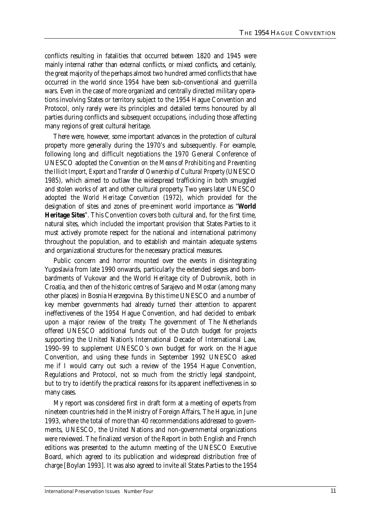conflicts resulting in fatalities that occurred between 1820 and 1945 were mainly internal rather than external conflicts, or mixed conflicts, and certainly, the great majority of the perhaps almost two hundred armed conflicts that have occurred in the world since 1954 have been sub-conventional and guerrilla wars. Even in the case of more organized and centrally directed military operations involving States or territory subject to the 1954 Hague Convention and Protocol, only rarely were its principles and detailed terms honoured by all parties during conflicts and subsequent occupations, including those affecting many regions of great cultural heritage.

There were, however, some important advances in the protection of cultural property more generally during the 1970's and subsequently. For example, following long and difficult negotiations the 1970 General Conference of UNESCO adopted the *Convention on the Means of Prohibiting and Preventing the Illicit Import, Export and Transfer of Ownership of Cultural Property* (UNESCO 1985), which aimed to outlaw the widespread trafficking in both smuggled and stolen works of art and other cultural property. Two years later UNESCO adopted the *World Heritage Convention* (1972), which provided for the designation of sites and zones of pre-eminent world importance as "**World Heritage Sites**". This Convention covers both cultural and, for the first time, natural sites, which included the important provision that States Parties to it must actively promote respect for the national and international patrimony throughout the population, and to establish and maintain adequate systems and organizational structures for the necessary practical measures.

Public concern and horror mounted over the events in disintegrating Yugoslavia from late 1990 onwards, particularly the extended sieges and bombardments of Vukovar and the World Heritage city of Dubrovnik, both in Croatia, and then of the historic centres of Sarajevo and Mostar (among many other places) in Bosnia Herzegovina. By this time UNESCO and a number of key member governments had already turned their attention to apparent ineffectiveness of the 1954 Hague Convention, and had decided to embark upon a major review of the treaty. The government of The Netherlands offered UNESCO additional funds out of the Dutch budget for projects supporting the United Nation's International Decade of International Law, 1990–99 to supplement UNESCO's own budget for work on the Hague Convention, and using these funds in September 1992 UNESCO asked me if I would carry out such a review of the 1954 Hague Convention, Regulations and Protocol, not so much from the strictly legal standpoint, but to try to identify the practical reasons for its apparent ineffectiveness in so many cases.

My report was considered first in draft form at a meeting of experts from nineteen countries held in the Ministry of Foreign Affairs, The Hague, in June 1993, where the total of more than 40 recommendations addressed to governments, UNESCO, the United Nations and non-governmental organizations were reviewed. The finalized version of the Report in both English and French editions was presented to the autumn meeting of the UNESCO Executive Board, which agreed to its publication and widespread distribution free of charge [Boylan 1993]. It was also agreed to invite all States Parties to the 1954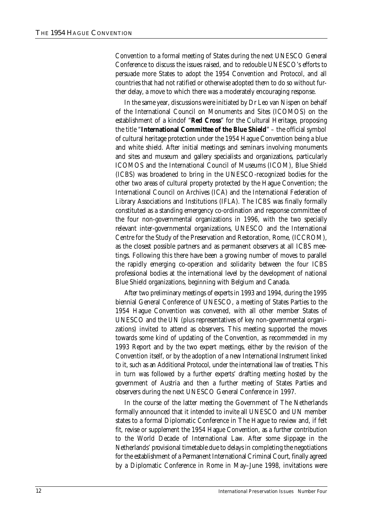Convention to a formal meeting of States during the next UNESCO General Conference to discuss the issues raised, and to redouble UNESCO's efforts to persuade more States to adopt the 1954 Convention and Protocol, and all countries that had not ratified or otherwise adopted them to do so without further delay, a move to which there was a moderately encouraging response.

In the same year, discussions were initiated by Dr Leo van Nispen on behalf of the International Council on Monuments and Sites (ICOMOS) on the establishment of a kindof "**Red Cross**" for the Cultural Heritage, proposing the title "**International Committee of the Blue Shield**" – the official symbol of cultural heritage protection under the 1954 Hague Convention being a blue and white shield. After initial meetings and seminars involving monuments and sites and museum and gallery specialists and organizations, particularly ICOMOS and the International Council of Museums (ICOM), Blue Shield (ICBS) was broadened to bring in the UNESCO-recognized bodies for the other two areas of cultural property protected by the Hague Convention; the International Council on Archives (ICA) and the International Federation of Library Associations and Institutions (IFLA). The ICBS was finally formally constituted as a standing emergency co-ordination and response committee of the four non-governmental organizations in 1996, with the two specially relevant inter-governmental organizations, UNESCO and the International Centre for the Study of the Preservation and Restoration, Rome, (ICCROM), as the closest possible partners and as permanent observers at all ICBS meetings. Following this there have been a growing number of moves to parallel the rapidly emerging co-operation and solidarity between the four ICBS professional bodies at the international level by the development of national Blue Shield organizations, beginning with Belgium and Canada.

After two preliminary meetings of experts in 1993 and 1994, during the 1995 biennial General Conference of UNESCO, a meeting of States Parties to the 1954 Hague Convention was convened, with all other member States of UNESCO and the UN (plus representatives of key non-governmental organizations) invited to attend as observers. This meeting supported the moves towards some kind of updating of the Convention, as recommended in my 1993 Report and by the two expert meetings, either by the revision of the Convention itself, or by the adoption of a new International Instrument linked to it, such as an Additional Protocol, under the international law of treaties. This in turn was followed by a further experts' drafting meeting hosted by the government of Austria and then a further meeting of States Parties and observers during the next UNESCO General Conference in 1997.

In the course of the latter meeting the Government of The Netherlands formally announced that it intended to invite all UNESCO and UN member states to a formal Diplomatic Conference in The Hague to review and, if felt fit, revise or supplement the 1954 Hague Convention, as a further contribution to the World Decade of International Law. After some slippage in the Netherlands' provisional timetable due to delays in completing the negotiations for the establishment of a Permanent International Criminal Court, finally agreed by a Diplomatic Conference in Rome in May–June 1998, invitations were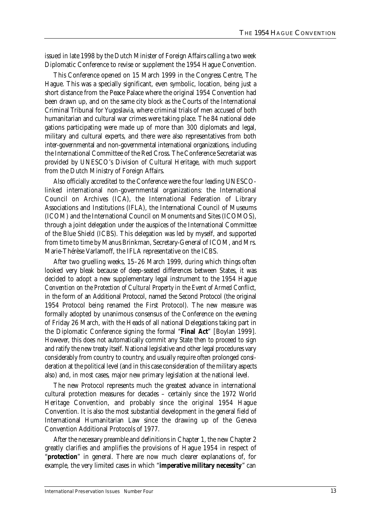issued in late 1998 by the Dutch Minister of Foreign Affairs calling a two week Diplomatic Conference to revise or supplement the 1954 Hague Convention.

This Conference opened on 15 March 1999 in the Congress Centre, The Hague. This was a specially significant, even symbolic, location, being just a short distance from the Peace Palace where the original 1954 Convention had been drawn up, and on the same city block as the Courts of the International Criminal Tribunal for Yugoslavia, where criminal trials of men accused of both humanitarian and cultural war crimes were taking place. The 84 national delegations participating were made up of more than 300 diplomats and legal, military and cultural experts, and there were also representatives from both inter-governmental and non-governmental international organizations, including the International Committee of the Red Cross. The Conference Secretariat was provided by UNESCO's Division of Cultural Heritage, with much support from the Dutch Ministry of Foreign Affairs.

Also officially accredited to the Conference were the four leading UNESCOlinked international non-governmental organizations: the International Council on Archives (ICA), the International Federation of Library Associations and Institutions (IFLA), the International Council of Museums (ICOM) and the International Council on Monuments and Sites (ICOMOS), through a joint delegation under the auspices of the International Committee of the Blue Shield (ICBS). This delegation was led by myself, and supported from time to time by Manus Brinkman, Secretary-General of ICOM, and Mrs. Marie-Thérèse Varlamoff, the IFLA representative on the ICBS.

After two gruelling weeks, 15–26 March 1999, during which things often looked very bleak because of deep-seated differences between States, it was decided to adopt a new supplementary legal instrument to the 1954 Hague *Convention on the Protection of Cultural Property in the Event of Armed Conflict*, in the form of an Additional Protocol, named the Second Protocol (the original 1954 Protocol being renamed the First Protocol). The new measure was formally adopted by unanimous consensus of the Conference on the evening of Friday 26 March, with the Heads of all national Delegations taking part in the Diplomatic Conference signing the formal "**Final Act**" [Boylan 1999]. However, this does not automatically commit any State then to proceed to sign and ratify the new treaty itself. National legislative and other legal procedures vary considerably from country to country, and usually require often prolonged consideration at the political level (and in this case consideration of the military aspects also) and, in most cases, major new primary legislation at the national level.

The new Protocol represents much the greatest advance in international cultural protection measures for decades – certainly since the 1972 World Heritage Convention, and probably since the original 1954 Hague Convention. It is also the most substantial development in the general field of International Humanitarian Law since the drawing up of the Geneva Convention Additional Protocols of 1977.

After the necessary preamble and definitions in Chapter 1, the new Chapter 2 greatly clarifies and amplifies the provisions of Hague 1954 in respect of "**protection**" in general. There are now much clearer explanations of, for example, the very limited cases in which "**imperative military necessity**" can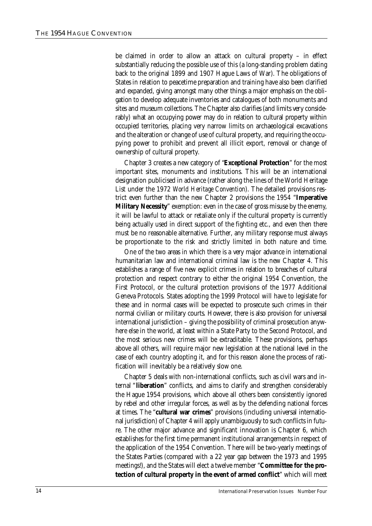be claimed in order to allow an attack on cultural property – in effect substantially reducing the possible use of this (a long-standing problem dating back to the original 1899 and 1907 Hague Laws of War). The obligations of States in relation to peacetime preparation and training have also been clarified and expanded, giving amongst many other things a major emphasis on the obligation to develop adequate inventories and catalogues of both monuments and sites and museum collections. The Chapter also clarifies (and limits very considerably) what an occupying power may do in relation to cultural property within occupied territories, placing very narrow limits on archaeological excavations and the alteration or change of use of cultural property, and requiring the occupying power to prohibit and prevent all illicit export, removal or change of ownership of cultural property.

Chapter 3 creates a new category of "**Exceptional Protection**" for the most important sites, monuments and institutions. This will be an international designation publicised in advance (rather along the lines of the World Heritage List under the 1972 *World Heritage Convention*). The detailed provisions restrict even further than the new Chapter 2 provisions the 1954 "**Imperative Military Necessity**" exemption: even in the case of gross misuse by the enemy, it will be lawful to attack or retaliate only if the cultural property is currently being actually used in direct support of the fighting etc., and even then there must be no reasonable alternative. Further, any military response must always be proportionate to the risk and strictly limited in both nature and time.

One of the two areas in which there is a very major advance in international humanitarian law and international criminal law is the new Chapter 4. This establishes a range of five new explicit crimes in relation to breaches of cultural protection and respect contrary to either the original 1954 Convention, the First Protocol, or the cultural protection provisions of the 1977 Additional Geneva Protocols. States adopting the 1999 Protocol will have to legislate for these and in normal cases will be expected to prosecute such crimes in their normal civilian or military courts. However, there is also provision for universal international jurisdiction – giving the possibility of criminal prosecution anywhere else in the world, at least within a State Party to the Second Protocol, and the most serious new crimes will be extraditable. These provisions, perhaps above all others, will require major new legislation at the national level in the case of each country adopting it, and for this reason alone the process of ratification will inevitably be a relatively slow one.

Chapter 5 deals with non-international conflicts, such as civil wars and internal "**liberation**" conflicts, and aims to clarify and strengthen considerably the Hague 1954 provisions, which above all others been consistently ignored by rebel and other irregular forces, as well as by the defending national forces at times. The "**cultural war crimes**" provisions (including universal international jurisdiction) of Chapter 4 will apply unambiguously to such conflicts in future. The other major advance and significant innovation is Chapter 6, which establishes for the first time permanent institutional arrangements in respect of the application of the 1954 Convention. There will be two-yearly meetings of the States Parties (compared with a 22 year gap between the 1973 and 1995 meetings!), and the States will elect a twelve member "**Committee for the protection of cultural property in the event of armed conflict**" which will meet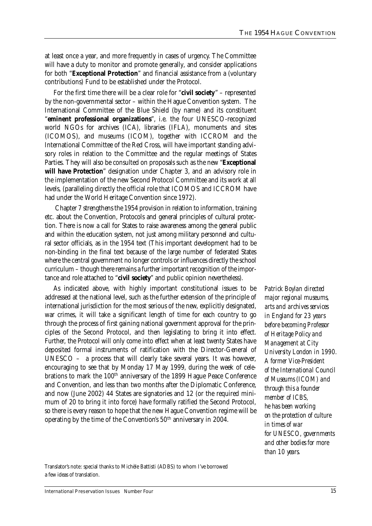Translator's note: special thanks to Michèle Battisti (ADBS) to whom I've borrowed

THE 1954 HAGUE CONVENTION

at least once a year, and more frequently in cases of urgency. The Committee will have a duty to monitor and promote generally, and consider applications for both "**Exceptional Protection**" and financial assistance from a (voluntary contributions) Fund to be established under the Protocol.

For the first time there will be a clear role for "**civil society**" – represented by the non-governmental sector – within the Hague Convention system. The International Committee of the Blue Shield (by name) and its constituent "**eminent professional organizations**", i.e. the four UNESCO-recognized world NGOs for archives (ICA), libraries (IFLA), monuments and sites (ICOMOS), and museums (ICOM), together with ICCROM and the International Committee of the Red Cross, will have important standing advisory roles in relation to the Committee and the regular meetings of States Parties. They will also be consulted on proposals such as the new "**Exceptional will have Protection**" designation under Chapter 3, and an advisory role in the implementation of the new Second Protocol Committee and its work at all levels, (paralleling directly the official role that ICOMOS and ICCROM have had under the World Heritage Convention since 1972).

Chapter 7 strengthens the 1954 provision in relation to information, training etc. about the Convention, Protocols and general principles of cultural protection. There is now a call for States to raise awareness among the general public and within the education system, not just among military personnel and cultural sector officials, as in the 1954 text (This important development had to be non-binding in the final text because of the large number of federated States where the central government no longer controls or influences directly the school curriculum – though there remains a further important recognition of the importance and role attached to "**civil society**" and public opinion nevertheless).

As indicated above, with highly important constitutional issues to be addressed at the national level, such as the further extension of the principle of international jurisdiction for the most serious of the new, explicitly designated, war crimes, it will take a significant length of time for each country to go through the process of first gaining national government approval for the principles of the Second Protocol, and then legislating to bring it into effect. Further, the Protocol will only come into effect when at least twenty States have deposited formal instruments of ratification with the Director-General of UNESCO – a process that will clearly take several years. It was however, encouraging to see that by Monday 17 May 1999, during the week of celebrations to mark the 100<sup>th</sup> anniversary of the 1899 Hague Peace Conference and Convention, and less than two months after the Diplomatic Conference, and now (June 2002) 44 States are signatories and 12 (or the required minimum of 20 to bring it into force) have formally ratified the Second Protocol, so there is every reason to hope that the new Hague Convention regime will be operating by the time of the Convention's 50<sup>th</sup> anniversary in 2004.

*Patrick Boylan directed major regional museums, arts and archives services in England for 23 years before becoming Professor of Heritage Policy and Management at City University London in 1990. A former Vi c e - President of the International Council of Museums (ICOM) and t h rough this a founder member of ICBS, he has been working on the protection of culture in times of war for UNESCO, governments and other bodies for more than 10 years.*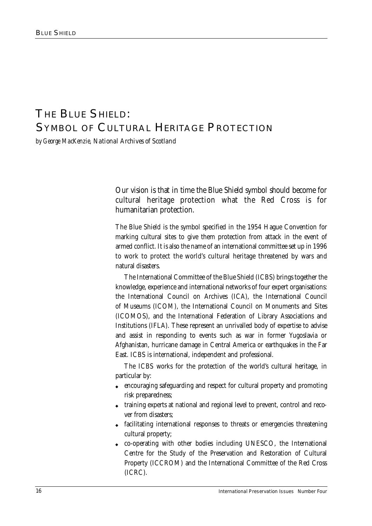### THE BLUE SHIFLD: SYMBOL OF CULTURAL HERITAGE PROTECTION *by George Ma c Kenzie, National Archives of Scotland*

Our vision is that in time the Blue Shield symbol should become for cultural heritage protection what the Red Cross is for humanitarian protection.

The Blue Shield is the symbol specified in the 1954 Hague Convention for marking cultural sites to give them protection from attack in the event of armed conflict. It is also the name of an international committee set up in 1996 to work to protect the world's cultural heritage threatened by wars and natural disasters.

The International Committee of the Blue Shield (ICBS) brings together the knowledge, experience and international networks of four expert organisations: the International Council on Archives (ICA), the International Council of Museums (ICOM), the International Council on Monuments and Sites (ICOMOS), and the International Federation of Library Associations and Institutions (IFLA). These represent an unrivalled body of expertise to advise and assist in responding to events such as war in former Yugoslavia or Afghanistan, hurricane damage in Central America or earthquakes in the Far East. ICBS is international, independent and professional.

The ICBS works for the protection of the world's cultural heritage, in particular by:

- ◆ encouraging safeguarding and respect for cultural property and promoting risk preparedness;
- ◆ training experts at national and regional level to prevent, control and recover from disasters;
- ◆ facilitating international responses to threats or emergencies threatening cultural property;
- ◆ co-operating with other bodies including UNESCO, the International Centre for the Study of the Preservation and Restoration of Cultural Property (ICCROM) and the International Committee of the Red Cross (ICRC).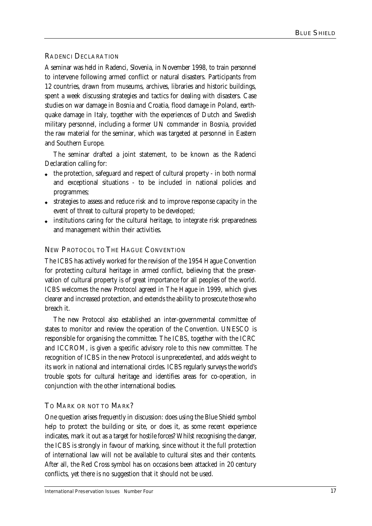#### RADENCI DECLARATION

A seminar was held in Radenci, Slovenia, in November 1998, to train personnel to intervene following armed conflict or natural disasters. Participants from 12 countries, drawn from museums, archives, libraries and historic buildings, spent a week discussing strategies and tactics for dealing with disasters. Case studies on war damage in Bosnia and Croatia, flood damage in Poland, earthquake damage in Italy, together with the experiences of Dutch and Swedish military personnel, including a former UN commander in Bosnia, provided the raw material for the seminar, which was targeted at personnel in Eastern and Southern Europe.

The seminar drafted a joint statement, to be known as the Radenci Declaration calling for:

- ◆ the protection, safeguard and respect of cultural property in both normal and exceptional situations - to be included in national policies and programmes;
- ◆ strategies to assess and reduce risk and to improve response capacity in the event of threat to cultural property to be developed;
- ◆ institutions caring for the cultural heritage, to integrate risk preparedness and management within their activities.

#### NEW PROTOCOL TO THE HAGUE CONVENTION

The ICBS has actively worked for the revision of the 1954 Hague Convention for protecting cultural heritage in armed conflict, believing that the preservation of cultural property is of great importance for all peoples of the world. ICBS welcomes the new Protocol agreed in The Hague in 1999, which gives clearer and increased protection, and extends the ability to prosecute those who breach it.

The new Protocol also established an inter-governmental committee of states to monitor and review the operation of the Convention. UNESCO is responsible for organising the committee. The ICBS, together with the ICRC and ICCROM, is given a specific advisory role to this new committee. The recognition of ICBS in the new Protocol is unprecedented, and adds weight to its work in national and international circles. ICBS regularly surveys the world's t rouble spots for cultural heritage and identifies areas for co-operation, in conjunction with the other international bodies.

#### TO MARK OR NOT TO MARK?

One question arises frequently in discussion: does using the Blue Shield symbol help to protect the building or site, or does it, as some recent experience indicates, mark it out as a target for hostile forces? Whilst recognising the danger, the ICBS is strongly in favour of marking, since without it the full protection of international law will not be available to cultural sites and their contents. After all, the Red Cross symbol has on occasions been attacked in 20 century conflicts, yet there is no suggestion that it should not be used.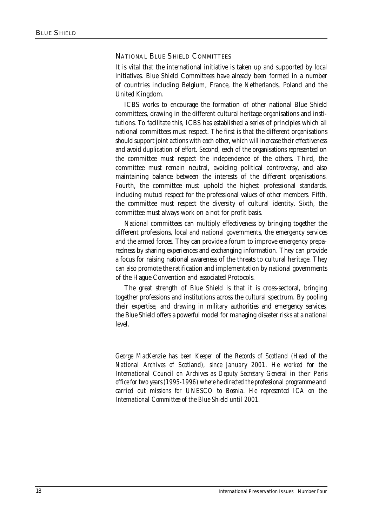#### NATIONAL BLUE SHIELD COMMITTEES

It is vital that the international initiative is taken up and supported by local initiatives. Blue Shield Committees have already been formed in a number of countries including Belgium, France, the Netherlands, Poland and the United Kingdom.

ICBS works to encourage the formation of other national Blue Shield committees, drawing in the different cultural heritage organisations and institutions. To facilitate this, ICBS has established a series of principles which all national committees must respect. The first is that the different organisations should support joint actions with each other, which will increase their effectiveness and avoid duplication of effort. Second, each of the organisations represented on the committee must respect the independence of the others. Third, the committee must remain neutral, avoiding political controversy, and also maintaining balance between the interests of the different organisations. Fourth, the committee must uphold the highest professional standards, including mutual respect for the professional values of other members. Fifth, the committee must respect the diversity of cultural identity. Sixth, the committee must always work on a not for profit basis.

National committees can multiply effectiveness by bringing together the different professions, local and national governments, the emergency services and the armed forces. They can provide a forum to improve emergency preparedness by sharing experiences and exchanging information. They can provide a focus for raising national awareness of the threats to cultural heritage. They can also promote the ratification and implementation by national governments of the Hague Convention and associated Protocols.

The great strength of Blue Shield is that it is cross-sectoral, bringing together professions and institutions across the cultural spectrum. By pooling their expertise, and drawing in military authorities and emergency services, the Blue Shield offers a powerful model for managing disaster risks at a national level.

*George MacKenzie has been Keeper of the Records of Scotland (Head of the National Archives of Scotland), since January 2001. He worked for the International Council on Archives as Deputy Secretary General in their Paris office for two years (1995-1996) where he directed the professional programme and carried out missions for UNESCO to Bosnia. He represented ICA on the International Committee of the Blue Shield until 2001.*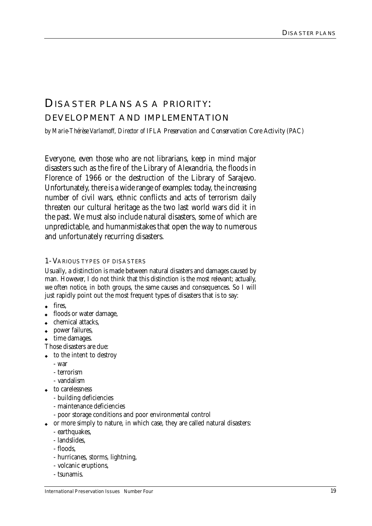# DISASTER PLANS AS A PRIORITY: DEVELOPMENT AND IMPLEMENTATION

*by Marie-Thérèse Varlamoff, Director of IFLA Preservation and Conservation Core Activity (PAC)* 

Everyone, even those who are not librarians, keep in mind major disasters such as the fire of the Library of Alexandria, the floods in Florence of 1966 or the destruction of the Library of Sarajevo. Unfortunately, there is a wide range of examples: today, the increasing number of civil wars, ethnic conflicts and acts of terrorism daily threaten our cultural heritage as the two last world wars did it in the past. We must also include natural disasters, some of which are un predictable, and human mistakes that open the way to numerous and unfortunately recurring disasters.

#### 1-VARIOUS TYPES OF DISASTERS

Usually, a distinction is made between natural disasters and damages caused by man. However, I do not think that this distinction is the most relevant; actually, we often notice, in both groups, the same causes and consequences. So I will just rapidly point out the most frequent types of disasters that is to say:

- ◆ fires,
- ◆ floods or water damage,
- ◆ chemical attacks,
- ◆ power failures,
- ◆ time damages.

Those disasters are due:

- ◆ to the intent to destroy
	- war
	- terrorism
	- vandalism
- ◆ to carelessness
	- building deficiencies
	- maintenance deficiencies
	- poor storage conditions and poor environmental control
- ◆ or more simply to nature, in which case, they are called natural disasters:
	- earthquakes,
	- landslides,
	- floods,
	- hurricanes, storms, lightning,
	- volcanic eruptions,
	- tsunamis.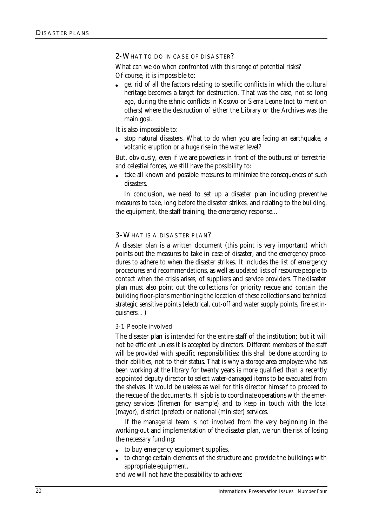#### 2-WHAT TO DO IN CASE OF DISASTER?

What can we do when confronted with this range of potential risks? Of course, it is impossible to:

◆ get rid of all the factors relating to specific conflicts in which the cultural heritage becomes a target for destruction. That was the case, not so long ago, during the ethnic conflicts in Kosovo or Sierra Leone (not to mention others) where the destruction of either the Library or the Archives was the main goal.

It is also impossible to:

◆ stop natural disasters. What to do when you are facing an earthquake, a volcanic eruption or a huge rise in the water level?

But, obviously, even if we are powerless in front of the outburst of terrestrial and celestial forces, we still have the possibility to:

• take all known and possible measures to minimize the consequences of such disasters

In conclusion, we need to set up a disaster plan including preventive measures to take, long before the disaster strikes, and relating to the building, the equipment, the staff training, the emergency response…

#### 3-WHAT IS A DISASTER PLAN?

A disaster plan is a written document (this point is very important) which points out the measures to take in case of disaster, and the emergency procedures to adhere to when the disaster strikes. It includes the list of emergency procedures and recommendations, as well as updated lists of resource people to contact when the crisis arises, of suppliers and service providers. The disaster plan must also point out the collections for priority rescue and contain the building floor-plans mentioning the location of these collections and technical strategic sensitive points (electrical, cut-off and water supply points, fire extinguishers…)

#### 3-1 People involved

The disaster plan is intended for the entire staff of the institution; but it will not be efficient unless it is accepted by directors. Different members of the staff will be provided with specific responsibilities; this shall be done according to their abilities, not to their status. That is why a storage area employee who has been working at the library for twenty years is more qualified than a recently appointed deputy director to select water-damaged items to be evacuated from the shelves. It would be useless as well for this director himself to proceed to the rescue of the documents. His job is to coordinate operations with the emergency services (firemen for example) and to keep in touch with the local (mayor), district (prefect) or national (minister) services.

If the managerial team is not involved from the very beginning in the working-out and implementation of the disaster plan, we run the risk of losing the necessary funding:

- ◆ to buy emergency equipment supplies,
- ◆ to change certain elements of the structure and provide the buildings with appropriate equipment,

and we will not have the possibility to achieve: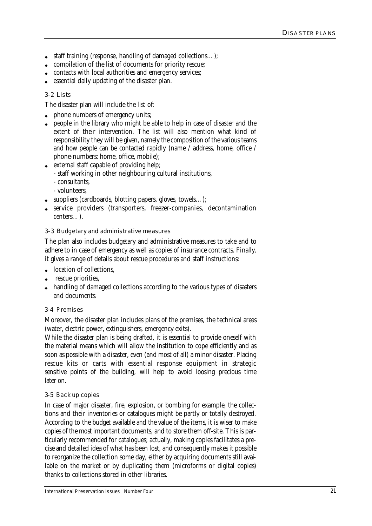- ◆ staff training (response, handling of damaged collections…);
- ◆ compilation of the list of documents for priority rescue;
- ◆ contacts with local authorities and emergency services;
- ◆ essential daily updating of the disaster plan.

#### 3-2 Lists

The disaster plan will include the list of:

- ◆ phone numbers of emergency units:
- ◆ people in the library who might be able to help in case of disaster and the extent of their intervention. The list will also mention what kind of responsibility they will be given, namely the composition of the various teams and how people can be contacted rapidly (name / address, home, office / phone-numbers: home, office, mobile);
- ◆ external staff capable of providing help;
	- staff working in other neighbouring cultural institutions,
	- consultants,
	- volunteers,
- ◆ suppliers (cardboards, blotting papers, gloves, towels…);
- service providers (transporters, freezer-companies, decontamination centers…).

#### 3-3 Budgetary and administrative measures

The plan also includes budgetary and administrative measures to take and to adhere to in case of emergency as well as copies of insurance contracts. Finally, it gives a range of details about rescue procedures and staff instructions:

- ◆ location of collections,
- ◆ rescue priorities,
- ◆ handling of damaged collections according to the various types of disasters and documents.

#### 3-4 Premises

Moreover, the disaster plan includes plans of the premises, the technical areas (water, electric power, extinguishers, emergency exits).

While the disaster plan is being drafted, it is essential to provide oneself with the material means which will allow the institution to cope efficiently and as soon as possible with a disaster, even (and most of all) a minor disaster. Placing rescue kits or carts with essential response equipment in strategic sensitive points of the building, will help to avoid loosing precious time later on.

#### 3-5 Back up copies

In case of major disaster, fire, explosion, or bombing for example, the collections and their inventories or catalogues might be partly or totally destroyed. According to the budget available and the value of the items, it is wiser to make copies of the most important documents, and to store them off-site. This is particularly recommended for catalogues; actually, making copies facilitates a precise and detailed idea of what has been lost, and consequently makes it possible to reorganize the collection some day, either by acquiring documents still available on the market or by duplicating them (microforms or digital copies) thanks to collections stored in other libraries.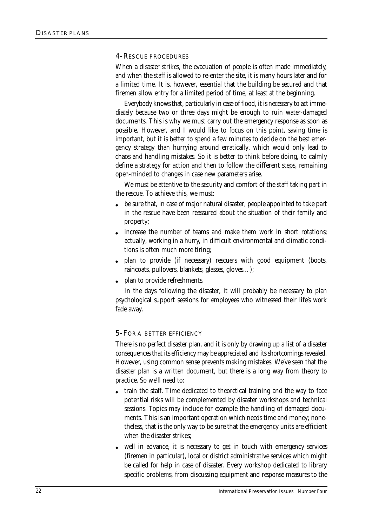#### 4-RESCUE PROCEDURES

When a disaster strikes, the evacuation of people is often made immediately, and when the staff is allowed to re-enter the site, it is many hours later and for a limited time. It is, however, essential that the building be secured and that firemen allow entry for a limited period of time, at least at the beginning.

Everybody knows that, particularly in case of flood, it is necessary to act immediately because two or three days might be enough to ruin water-damaged documents. This is why we must carry out the emergency response as soon as possible. However, and I would like to focus on this point, saving time is important, but it is better to spend a few minutes to decide on the best emergency strategy than hurrying around erratically, which would only lead to chaos and handling mistakes. So it is better to think before doing, to calmly define a strategy for action and then to follow the different steps, remaining open-minded to changes in case new parameters arise.

We must be attentive to the security and comfort of the staff taking part in the rescue. To achieve this, we must:

- ◆ be sure that, in case of major natural disaster, people appointed to take part in the rescue have been reassured about the situation of their family and property;
- increase the number of teams and make them work in short rotations; actually, working in a hurry, in difficult environmental and climatic conditions is often much more tiring;
- plan to provide (if necessary) rescuers with good equipment (boots, raincoats, pullovers, blankets, glasses, gloves…);
- ◆ plan to provide refreshments.

In the days following the disaster, it will probably be necessary to plan psychological support sessions for employees who witnessed their life's work fade away.

#### 5-FOR A BETTER EFFICIENCY

There is no perfect disaster plan, and it is only by drawing up a list of a disaster consequences that its efficiency may be appreciated and its shortcomings revealed. However, using common sense prevents making mistakes. We've seen that the disaster plan is a written document, but there is a long way from theory to practice. So we'll need to:

- train the staff. Time dedicated to theoretical training and the way to face potential risks will be complemented by disaster workshops and technical sessions. Topics may include for example the handling of damaged documents. This is an important operation which needs time and money; nonetheless, that is the only way to be sure that the emergency units are efficient when the disaster strikes;
- well in advance, it is necessary to get in touch with emergency services (firemen in particular), local or district administrative services which might be called for help in case of disaster. Every workshop dedicated to library specific problems, from discussing equipment and response measures to the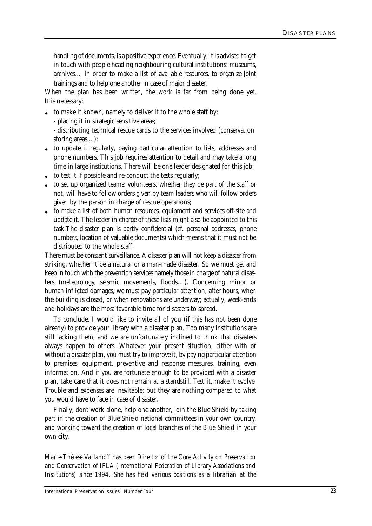handling of documents, is a positive experience. Eventually, it is advised to get in touch with people heading neighbouring cultural institutions: museums, archives... in order to make a list of available resources, to organize joint trainings and to help one another in case of major disaster.

When the plan has been written, the work is far from being done yet. It is necessary:

- ◆ to make it known, namely to deliver it to the whole staff by:
	- placing it in strategic sensitive areas;
	- distributing technical rescue cards to the services involved (conservation, storing areas…);
- ◆ to update it regularly, paying particular attention to lists, addresses and phone numbers. This job requires attention to detail and may take a long time in large institutions. There will be one leader designated for this job;
- $\bullet$  to test it if possible and re-conduct the tests regularly;
- ◆ to set up organized teams: volunteers, whether they be part of the staff or not, will have to follow orders given by team leaders who will follow orders given by the person in charge of rescue operations;
- to make a list of both human resources, equipment and services off-site and update it. The leader in charge of these lists might also be appointed to this task.The disaster plan is partly confidential (cf. personal addresses, phone numbers, location of valuable documents) which means that it must not be distributed to the whole staff.

There must be constant surveillance. A disaster plan will not keep a disaster from striking, whether it be a natural or a man-made disaster. So we must get and keep in touch with the prevention services namely those in charge of natural disasters (meteorology, seismic movements, floods...). Concerning minor or human inflicted damages, we must pay particular attention, after hours, when the building is closed, or when renovations are underway; actually, week-ends and holidays are the most favorable time for disasters to spread.

To conclude, I would like to invite all of you (if this has not been done already) to provide your library with a disaster plan. Too many institutions are still lacking them, and we are unfortunately inclined to think that disasters always happen to others. Whatever your present situation, either with or without a disaster plan, you must try to improve it, by paying particular attention to premises, equipment, preventive and response measures, training, even information. And if you are fortunate enough to be provided with a disaster plan, take care that it does not remain at a standstill. Test it, make it evolve. Trouble and expenses are inevitable; but they are nothing compared to what you would have to face in case of disaster.

Finally, don't work alone, help one another, join the Blue Shield by taking part in the creation of Blue Shield national committees in your own country, and working toward the creation of local branches of the Blue Shield in your own city.

*Marie-Thérèse Varlamoff has been Director of the Core Activity on Preservation and Conservation of IFLA (International Federation of Library Associations and Institutions) since 1994. She has held various positions as a librarian at the*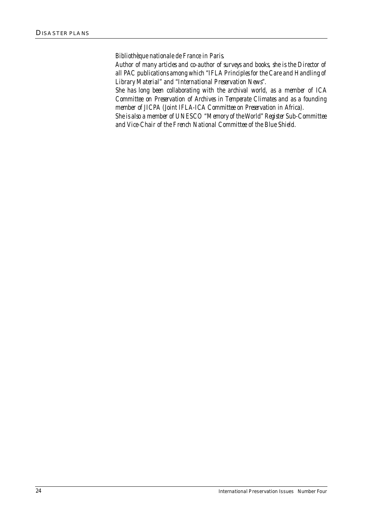*Bibliothèque nationale de France in Paris.*

*Author of many articles and co-author of surveys and books, she is the Director of all PAC publications among which "IFLA Principles for the Care and Handling of Library Material" and "International Preservation News".*

She has long been collaborating with the archival world, as a member of ICA *Committee on Preservation of Archives in Temperate Climates and as a founding member of JICPA (Joint IFLA-ICA Committee on Preservation in Africa).* 

*She is also a member of UNESCO "Memory of the World" Register Sub-Committee and Vice-Chair of the French National Committee of the Blue Shield.*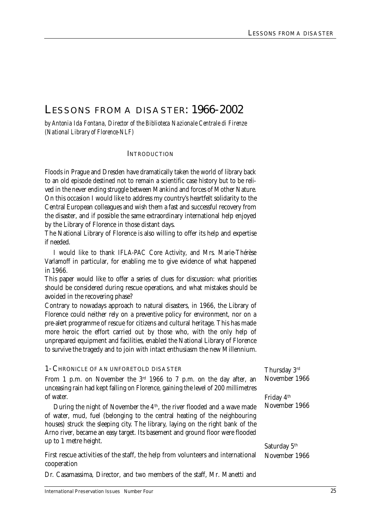### LESSONS FROM A DISASTER: 1966-2002

*by Antonia Ida Fontana, Director of the Biblioteca Nazionale Centrale di Firenze (National Library of Florence-NLF)*

#### **INTRODUCTION**

Floods in Prague and Dresden have dramatically taken the world of library back to an old episode destined not to remain a scientific case history but to be relived in the never ending struggle between Mankind and forces of Mother Nature. On this occasion I would like to address my country's heartfelt solidarity to the Central European colleagues and wish them a fast and successful recovery from the disaster, and if possible the same extraordinary international help enjoyed by the Library of Florence in those distant days.

The National Library of Florence is also willing to offer its help and expertise if needed.

I would like to thank IFLA-PAC Core Activity, and Mrs. Marie-Thérèse Varlamoff in particular, for enabling me to give evidence of what happened in 1966.

This paper would like to offer a series of clues for discussion: what priorities should be considered during rescue operations, and what mistakes should be avoided in the recovering phase?

Contrary to nowadays approach to natural disasters, in 1966, the Library of Florence could neither rely on a preventive policy for environment, nor on a pre-alert programme of rescue for citizens and cultural heritage. This has made more heroic the effort carried out by those who, with the only help of unprepared equipment and facilities, enabled the National Library of Florence to survive the tragedy and to join with intact enthusiasm the new Millennium.

#### 1-CHRONICLE OF AN UNFORETOLD DISASTER

From 1 p.m. on November the  $3<sup>rd</sup>$  1966 to 7 p.m. on the day after, an unceasing rain had kept falling on Florence, gaining the level of 200 millimetres of water.

During the night of November the 4<sup>th</sup>, the river flooded and a wave made of water, mud, fuel (belonging to the central heating of the neighbouring houses) struck the sleeping city. The library, laying on the right bank of the Arno river, became an easy target. Its basement and ground floor were flooded up to 1 metre height.

#### **First rescue activities of the staff, the help from volunteers and international cooperation**

Dr. Casamassima, Director, and two members of the staff, Mr. Manetti and

**Thursday 3rd November 1966**

**Friday 4th November 1966**

**Saturday 5th November 1966**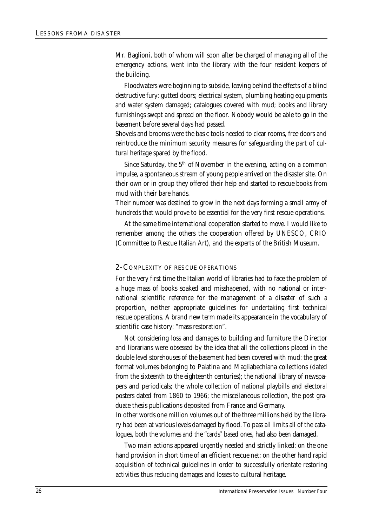Mr. Baglioni, both of whom will soon after be charged of managing all of the emergency actions, went into the library with the four resident keepers of the building.

Floodwaters were beginning to subside, leaving behind the effects of a blind destructive fury: gutted doors; electrical system, plumbing heating equipments and water system damaged; catalogues covered with mud; books and library furnishings swept and spread on the floor. Nobody would be able to go in the basement before several days had passed.

Shovels and brooms were the basic tools needed to clear rooms, free doors and reintroduce the minimum security measures for safeguarding the part of cultural heritage spared by the flood.

Since Saturday, the  $5<sup>th</sup>$  of November in the evening, acting on a common impulse, a spontaneous stream of young people arrived on the disaster site. On their own or in group they offered their help and started to rescue books from mud with their bare hands.

Their number was destined to grow in the next days forming a small army of hundreds that would prove to be essential for the very first rescue operations.

At the same time international cooperation started to move. I would like to remember among the others the cooperation offered by UNESCO, CRIO (Committee to Rescue Italian Art), and the experts of the British Museum.

#### 2-COMPLEXITY OF RESCUE OPERATIONS

For the very first time the Italian world of libraries had to face the problem of a huge mass of books soaked and misshapened, with no national or international scientific reference for the management of a disaster of such a proportion, neither appropriate guidelines for undertaking first technical rescue operations. A brand new term made its appearance in the vocabulary of scientific case history: "mass restoration".

Not considering loss and damages to building and furniture the Director and librarians were obsessed by the idea that all the collections placed in the double level storehouses of the basement had been covered with mud: the great format volumes belonging to Palatina and Magliabechiana collections (dated from the sixteenth to the eighteenth centuries); the national library of newspapers and periodicals; the whole collection of national playbills and electoral posters dated from 1860 to 1966; the miscellaneous collection, the post graduate thesis publications deposited from France and Germany.

In other words one million volumes out of the three millions held by the library had been at various levels damaged by flood. To pass all limits all of the catalogues, both the volumes and the "cards" based ones, had also been damaged.

Two main actions appeared urgently needed and strictly linked: on the one hand provision in short time of an efficient rescue net; on the other hand rapid acquisition of technical guidelines in order to successfully orientate restoring activities thus reducing damages and losses to cultural heritage.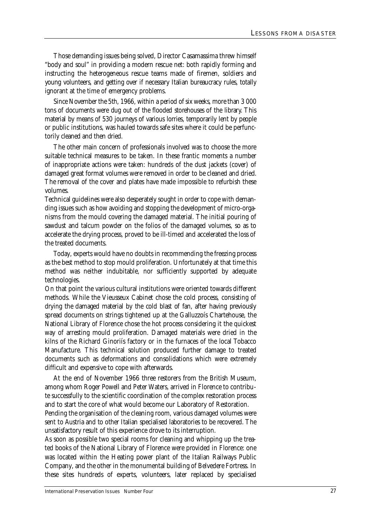Those demanding issues being solved, Director Casamassima threw himself "body and soul" in providing a modern rescue net: both rapidly forming and instructing the heterogeneous rescue teams made of firemen, soldiers and young volunteers, and getting over if necessary Italian bureaucracy rules, totally ignorant at the time of emergency problems.

Since November the 5th, 1966, within a period of six weeks, more than 3 000 tons of documents were dug out of the flooded storehouses of the library. This material by means of 530 journeys of various lorries, temporarily lent by people or public institutions, was hauled towards safe sites where it could be perfunctorily cleaned and then dried.

The other main concern of professionals involved was to choose the more suitable technical measures to be taken. In these frantic moments a number of inappropriate actions were taken: hundreds of the dust jackets (cover) of damaged great format volumes were removed in order to be cleaned and dried. The removal of the cover and plates have made impossible to refurbish these volumes.

Technical guidelines were also desperately sought in order to cope with demanding issues such as how avoiding and stopping the development of micro-organisms from the mould covering the damaged material. The initial pouring of sawdust and talcum powder on the folios of the damaged volumes, so as to accelerate the drying process, proved to be ill-timed and accelerated the loss of the treated documents.

Today, experts would have no doubts in recommending the freezing process as the best method to stop mould proliferation. Unfortunately at that time this method was neither indubitable, nor sufficiently supported by adequate technologies.

On that point the various cultural institutions were oriented towards different methods. While the Vieusseux Cabinet chose the cold process, consisting of drying the damaged material by the cold blast of fan, after having previously spread documents on strings tightened up at the Galluzzoís Chartehouse, the National Library of Florence chose the hot process considering it the quickest way of arresting mould proliferation. Damaged materials were dried in the kilns of the Richard Ginoriís factory or in the furnaces of the local Tobacco Manufacture. This technical solution produced further damage to treated documents such as deformations and consolidations which were extremely difficult and expensive to cope with afterwards.

At the end of November 1966 three restorers from the British Museum, among whom Roger Powell and Peter Waters, arrived in Florence to contribute successfully to the scientific coordination of the complex restoration process and to start the core of what would become our Laboratory of Restoration. Pending the organisation of the cleaning room, various damaged volumes were sent to Austria and to other Italian specialised laboratories to be recovered. The unsatisfactory result of this experience drove to its interruption.

As soon as possible two special rooms for cleaning and whipping up the treated books of the National Library of Florence were provided in Florence: one was located within the Heating power plant of the Italian Railways Public Company, and the other in the monumental building of Belvedere Fortress. In these sites hundreds of experts, volunteers, later replaced by specialised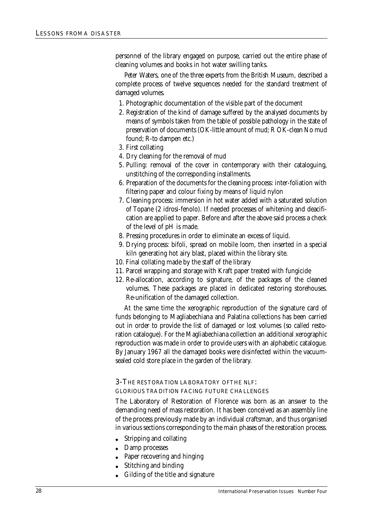personnel of the library engaged on purpose, carried out the entire phase of cleaning volumes and books in hot water swilling tanks.

Peter Waters, one of the three experts from the British Museum, described a complete process of twelve sequences needed for the standard treatment of damaged volumes.

- 01. Photographic documentation of the visible part of the document
- 2. Registration of the kind of damage suffered by the analysed documents by means of symbols taken from the table of possible pathology in the state of preservation of documents (OK-little amount of mud; R OK-clean No mud found; R-to dampen etc.)
- 03. First collating
- 04. Dry cleaning for the removal of mud
- 05. Pulling: removal of the cover in contemporary with their cataloguing, unstitching of the corresponding installments.
- 06. Preparation of the documents for the cleaning process: inter-foliation with filtering paper and colour fixing by means of liquid nylon
- 07. Cleaning process: immersion in hot water added with a saturated solution of Topane (2 idrosi-fenolo). If needed processes of whitening and deacification are applied to paper. Before and after the above said process a check of the level of pH is made.
- 08. Pressing procedures in order to eliminate an excess of liquid.
- 09. Drying process: bifoli, spread on mobile loom, then inserted in a special kiln generating hot airy blast, placed within the library site.
- 10. Final collating made by the staff of the library
- 11. Parcel wrapping and storage with Kraft paper treated with fungicide
- 12. Re-allocation, according to signature, of the packages of the cleaned volumes. These packages are placed in dedicated restoring storehouses. Re-unification of the damaged collection.

At the same time the xerographic reproduction of the signature card of funds belonging to Magliabechiana and Palatina collections has been carried out in order to provide the list of damaged or lost volumes (so called restoration catalogue). For the Magliabechiana collection an additional xerographic reproduction was made in order to provide users with an alphabetic catalogue. By January 1967 all the damaged books were disinfected within the vacuumsealed cold store place in the garden of the library.

#### 3-THE RESTORATION LABORATORY OFTHE NLF:

#### GLORIOUS TRADITION FACING FUTURE CHALLENGES

The Laboratory of Restoration of Florence was born as an answer to the demanding need of mass restoration. It has been conceived as an assembly line of the process previously made by an individual craftsman, and thus organised in various sections corresponding to the main phases of the restoration process.

- ◆ Stripping and collating
- Damp processes
- Paper recovering and hinging
- Stitching and binding
- Gilding of the title and signature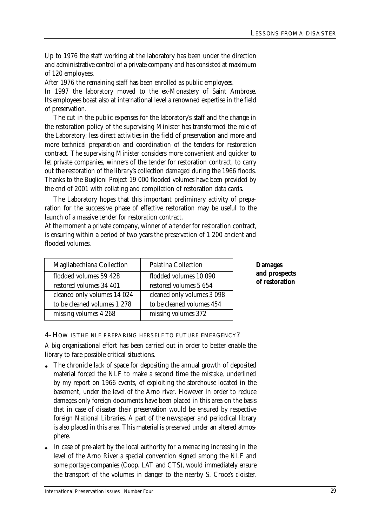Up to 1976 the staff working at the laboratory has been under the direction and administrative control of a private company and has consisted at maximum of 120 employees.

After 1976 the remaining staff has been enrolled as public employees.

In 1997 the laboratory moved to the ex-Monastery of Saint Ambrose. Its employees boast also at international level a renowned expertise in the field of preservation.

The cut in the public expenses for the laboratory's staff and the change in the restoration policy of the supervising Minister has transformed the role of the Laboratory: less direct activities in the field of preservation and more and more technical preparation and coordination of the tenders for restoration contract. The supervising Minister considers more convenient and quicker to let private companies, winners of the tender for restoration contract, to carry out the restoration of the librar y's collection damaged during the 1966 floods. Thanks to the Buglioni Project 19 000 flooded volumes have been provided by the end of 2001 with collating and compilation of restoration data cards.

The Laboratory hopes that this important preliminary activity of preparation for the successive phase of effective restoration may be useful to the launch of a massive tender for restoration contract.

At the moment a private company, winner of a tender for restoration contract, is ensuring within a period of two years the preservation of 1 200 ancient and flooded volumes.

| <b>Magliabechiana Collection</b> | <b>Palatina Collection</b> |
|----------------------------------|----------------------------|
| flodded volumes 59 428           | flodded volumes 10 090     |
| restored volumes 34 401          | restored volumes 5 654     |
| cleaned only volumes 14 024      | cleaned only volumes 3 098 |
| to be cleaned volumes 1 278      | to be cleaned volumes 454  |
| missing volumes 4 268            | missing volumes 372        |

**Damages and prospects of restoration**

#### 4-HOW ISTHE NLF PREPARING HERSELFTO FUTURE EMERGENCY?

A big organisational effort has been carried out in order to better enable the library to face possible critical situations.

- The chronicle lack of space for depositing the annual growth of deposited material forced the NLF to make a second time the mistake, underlined by my report on 1966 events, of exploiting the storehouse located in the basement, under the level of the Arno river. However in order to reduce damages only foreign documents have been placed in this area on the basis that in case of disaster their preservation would be ensured by respective foreign National Libraries. A part of the newspaper and periodical library is also placed in this area. This material is preserved under an altered atmosphere.
- In case of pre-alert by the local authority for a menacing increasing in the level of the Arno River a special convention signed among the NLF and some portage companies (Coop. LAT and CTS), would immediately ensure the transport of the volumes in danger to the nearby S. Croce's cloister,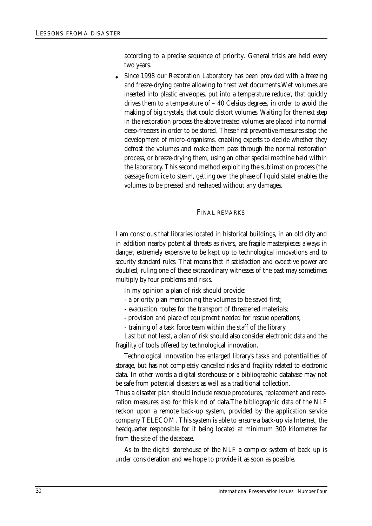according to a precise sequence of priority. General trials are held every two years.

• Since 1998 our Restoration Laboratory has been provided with a freezing and freeze-drying centre allowing to treat wet documents.Wet volumes are inserted into plastic envelopes, put into a temperature reducer, that quickly drives them to a temperature of – 40 Celsius degrees, in order to avoid the making of big crystals, that could distort volumes. Waiting for the next step in the restoration process the above treated volumes are placed into normal deep-freezers in order to be stored. These first preventive measures stop the development of micro-organisms, enabling experts to decide whether they defrost the volumes and make them pass through the normal restoration process, or breeze-drying them, using an other special machine held within the laboratory. This second method exploiting the sublimation process (the passage from ice to steam, getting over the phase of liquid state) enables the volumes to be pressed and reshaped without any damages.

#### FINAL REMARKS

I am conscious that libraries located in historical buildings, in an old city and in addition nearby potential threats as rivers, are fragile masterpieces always in danger, extremely expensive to be kept up to technological innovations and to security standard rules. That means that if satisfaction and evocative power are doubled, ruling one of these extraordinary witnesses of the past may sometimes multiply by four problems and risks.

In my opinion a plan of risk should provide:

- a priority plan mentioning the volumes to be saved first;
- evacuation routes for the transport of threatened materials;
- provision and place of equipment needed for rescue operations;
- training of a task force team within the staff of the library.

Last but not least, a plan of risk should also consider electronic data and the fragility of tools offered by technological innovation.

Technological innovation has enlarged library's tasks and potentialities of storage, but has not completely cancelled risks and fragility related to electronic data. In other words a digital storehouse or a bibliographic database may not be safe from potential disasters as well as a traditional collection.

Thus a disaster plan should include rescue procedures, replacement and restoration measures also for this kind of data.The bibliographic data of the NLF reckon upon a remote back-up system, provided by the application service company TELECOM. This system is able to ensure a back-up via Internet, the he adquarter responsible for it being located at minimum 300 kilometres far from the site of the database.

As to the digital storehouse of the NLF a complex system of back up is under consideration and we hope to provide it as soon as possible.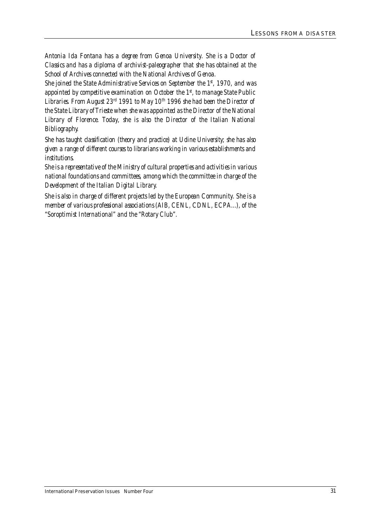*Antonia Ida Fontana has a degree from Genoa University. She is a Doctor of Classics and has a diploma of archivist-paleographer that she has obtained at the School of Archives connected with the National Archives of Genoa.*

*She joined the State Administrative Services on September the 1st, 1970, and was appointed by competitive examination on October the 1st, to manage State Public Libraries. From August 23rd 1991 to May 10th 1996 she had been the Director of the State Library of Trieste when she was appointed as the Director of the National Library of Florence. Today, she is also the Director of the Italian National Bibliography.*

*She has taught classification (theory and practice) at Udine University; she has also g i ven a range of different courses to librarians working in various establishments and institutions.* 

*She is a representative of the Ministry of cultural properties and activities in various national foundations and committees, among which the committee in charge of the Development of the Italian Digital Library.*

*She is also in charge of different projects led by the European Community. She is a member of various professional associations (AIB, CENL, CDNL, ECPA...), of the "Soroptimist International" and the "Rotary Club".*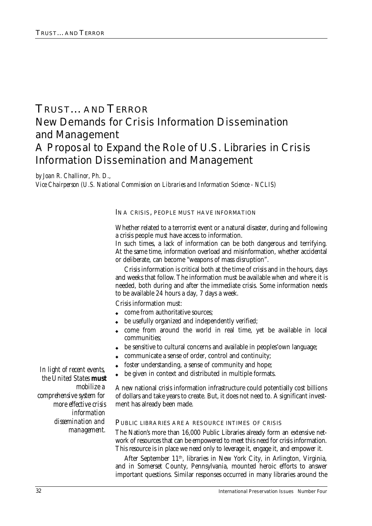# TRUST… AND TERROR New Demands for Crisis Information Dissemination and Management A Proposal to Expand the Role of U.S. Libraries in Crisis Information Dissemination and Management

*by Joan R. Challinor, Ph. D., Vice Chairperson (U.S. National Commission on Libraries and Information Science - NCLIS)*

#### IN A CRISIS, PEOPLE MUST HAVE INFORMATION

Whether related to a terrorrist event or a natural disaster, during and following a crisis people *must* have access to information.

In such times, a lack of information can be both dangerous and terrifying. At the same time, information overload and misinformation, whether accidental or deliberate, can become "weapons of mass disruption".

Crisis information is critical both at the time of crisis and in the hours, days and weeks that follow. The information must be available when and where it is needed, both during and after the immediate crisis. Some information needs to be available 24 hours a day, 7 days a week.

Crisis information must:

- ◆ come from authoritative sources:
- ◆ be usefully organized and independently verified;
- ◆ come from around the world in real time, yet be available in local communities;
- ◆ be sensitive to cultural concerns and available in peoples'own language;
- communicate a sense of order, control and continuity;
- ◆ foster understanding, a sense of community and hope;
- ◆ be given in context and distributed in multiple formats.

A new national crisis information infrastructure could potentially cost billions of dollars and take years to create. But, it does not need to. A significant investment has already been made.

#### PUBLIC LIBRARIES ARE A RESOURCE INTIMES OF CRISIS

The Nation's more than 16,000 Public Libraries already form an extensive network of resources that can be empowered to meet this need for crisis information. This resource is in place we need only to leverage it, engage it, and empower it.

After September 11<sup>th</sup>, libraries in New York City, in Arlington, Virginia, and in Somerset County, Pennsylvania, mounted heroic efforts to answer important questions. Similar responses occurred in many libraries around the

*In light of recent events, the United States must mobilize a comprehensive system for more effective crisis information dissemination and management.*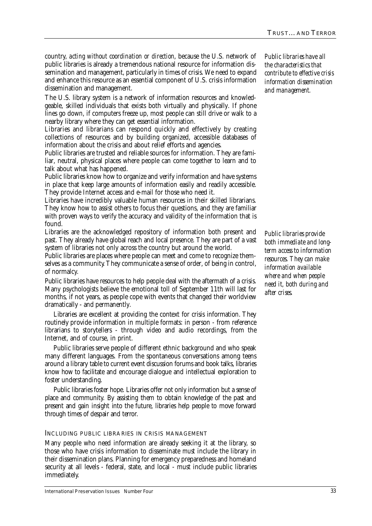country, *acting without coordination or direction*, because the U.S. network of public libraries is already a tremendous national resource for information dissemination and management, particularly in times of crisis. We need to expand and enhance this resource as an essential component of U.S. crisis information dissemination and management.

The U.S. library system is a network of information resources and knowledgeable, skilled individuals that exists both virtually and physically. If phone lines go down, if computers freeze up, most people can still drive or walk to a nearby library where they can get essential information.

Libraries and librarians can respond quickly and effectively by creating collections of resources and by building organized, accessible databases of information about the crisis and about relief efforts and agencies.

Public libraries are trusted and reliable sources for information. They are familiar, neutral, physical places where people can come together to learn and to talk about what has happened.

Public libraries know how to organize and verify information and have systems in place that keep large amounts of information easily and readily accessible. They provide Internet access and e-mail for those who need it.

Libraries have incredibly valuable human resources in their skilled librarians. They know how to assist others to focus their questions, and they are familiar with proven ways to verify the accuracy and validity of the information that is found.

Libraries are the acknowledged repository of information both present and past. They already have global reach and local presence. They are part of a vast system of libraries not only across the country but around the world.

Public libraries are places where people can meet and come to recognize themselves as a community. They communicate a sense of order, of being in control, of normalcy.

Public libraries have resources to help people deal with the aftermath of a crisis. Many psychologists believe the emotional toll of September 11th will last for months, if not years, as people cope with events that changed their worldview dramatically - and permanently.

Libraries are excellent at providing the context for crisis information. They routinely provide information in multiple formats: in person - from reference librarians to storytellers - through video and audio recordings, from the Internet, and of course, in print.

Public libraries serve people of different ethnic background and who speak many different languages. From the spontaneous conversations among teens around a library table to current event discussion forums and book talks, libraries know how to facilitate and encourage dialogue and intellectual exploration to foster understanding.

Public libraries foster hope. Libraries offer not only information but a sense of place and community. By assisting them to obtain knowledge of the past and present and gain insight into the future, libraries help people to move forward through times of despair and terror.

#### INCLUDING PUBLIC LIBRARIES IN CRISIS MANAGEMENT

Many people who need information are already seeking it at the library, so those who have crisis information to disseminate *must* include the library in their dissemination plans. Planning for emergency preparedness and homeland security at all levels - federal, state, and local - must include public libraries immediately.

*Public libraries have all the characteristics that contribute to effective crisis information dissemination and management.*

*Public libraries provide both immediate and longterm access to information resources. They can make information available where and when people need it, both during and after crises.*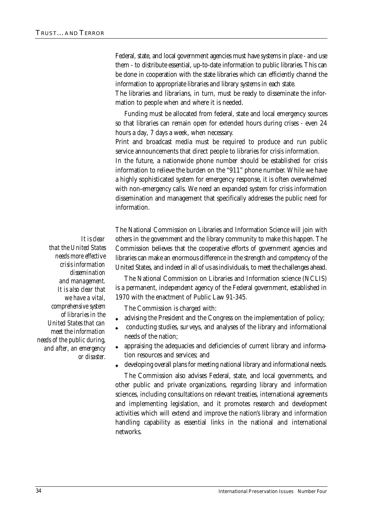Federal, state, and local government agencies must have systems in place - and use them - to distribute essential, up-to-date information to public libraries. This can be done in cooperation with the state libraries which can efficiently channel the information to appropriate libraries and library systems in each state.

The libraries and librarians, in turn, must be ready to disseminate the information to people when and where it is needed.

Funding must be allocated from federal, state and local emergency sources so that libraries can remain open for extended hours during crises - even 24 hours a day, 7 days a week, when necessary.

Print and broadcast media must be required to produce and run public service announcements that direct people to libraries for crisis information.

In the future, a nationwide phone number should be established for crisis information to relieve the burden on the "911" phone number. While we have a highly sophisticated system for emergency response, it is often overwhelmed with non-emergency calls. We need an expanded system for crisis information dissemination and management that specifically addresses the public need for information.

The National Commission on Libraries and Information Science will join with others in the government and the library community to make this happen. The Commission believes that the cooperative efforts of government agencies and libraries can make an enormous difference in the strength and competency of the United States, and indeed in all of us as individuals, to meet the challenges ahead.

The National Commission on Libraries and Information science (NCLIS) is a permanent, independent agency of the Federal government, established in 1970 with the enactment of Public Law 91-345.

The Commission is charged with:

- advising the President and the Congress on the implementation of policy;
- conducting studies, sur veys, and analyses of the library and informational needs of the nation;
- ◆ appraising the adequacies and deficiencies of current library and information resources and services; and

• developing overall plans for meeting national library and informational needs.

The Commission also advises Federal, state, and local governments, and other public and private organizations, regarding library and information sciences, including consultations on relevant treaties, international agreements and implementing legislation, and it promotes research and development activities which will extend and improve the nation's library and information handling capability as essential links in the national and international networks.

*that the United States needs more effective crisis information dissemination and management. It is also clear that we have a vital, comprehensive system of libraries in the United States that can meet the information needs of the public during, and after, an emergency or disaster.*

*It is clear*